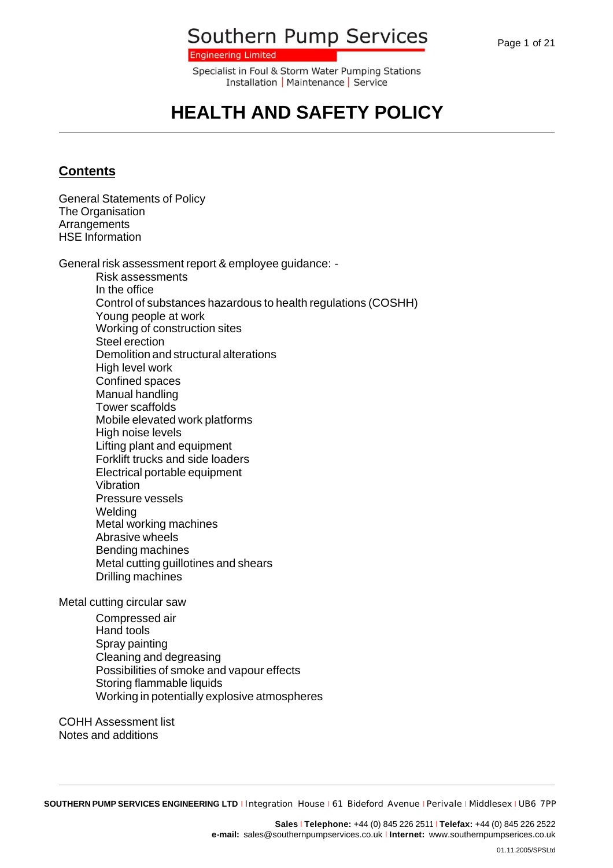**Engineering Limited** 

Specialist in Foul & Storm Water Pumping Stations Installation | Maintenance | Service

## **HEALTH AND SAFETY POLICY**

#### **Contents**

General Statements of Policy The Organisation **Arrangements** HSE Information

General risk assessment report & employee guidance: -

Risk assessments In the office Control of substances hazardous to health regulations (COSHH) Young people at work Working of construction sites Steel erection Demolition and structural alterations High level work Confined spaces Manual handling Tower scaffolds Mobile elevated work platforms High noise levels Lifting plant and equipment Forklift trucks and side loaders Electrical portable equipment Vibration Pressure vessels **Welding** Metal working machines Abrasive wheels Bending machines Metal cutting guillotines and shears Drilling machines

Metal cutting circular saw

Compressed air Hand tools Spray painting Cleaning and degreasing Possibilities of smoke and vapour effects Storing flammable liquids Working in potentially explosive atmospheres

COHH Assessment list Notes and additions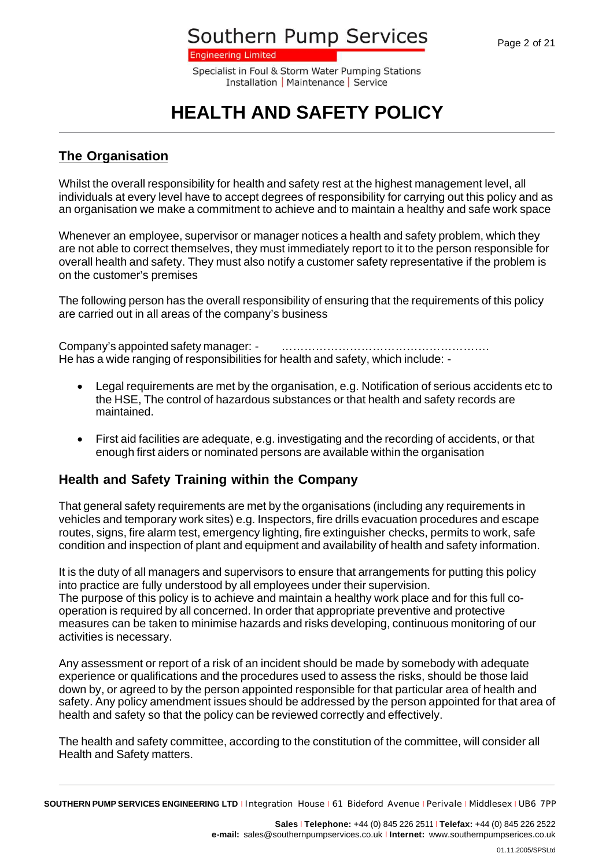**Engineering Limited** 

Specialist in Foul & Storm Water Pumping Stations Installation | Maintenance | Service

# **HEALTH AND SAFETY POLICY**

#### **The Organisation**

Whilst the overall responsibility for health and safety rest at the highest management level, all individuals at every level have to accept degrees of responsibility for carrying out this policy and as an organisation we make a commitment to achieve and to maintain a healthy and safe work space

Whenever an employee, supervisor or manager notices a health and safety problem, which they are not able to correct themselves, they must immediately report to it to the person responsible for overall health and safety. They must also notify a customer safety representative if the problem is on the customer's premises

The following person has the overall responsibility of ensuring that the requirements of this policy are carried out in all areas of the company's business

Company's appointed safety manager: - ………………………………………………. He has a wide ranging of responsibilities for health and safety, which include: -

- · Legal requirements are met by the organisation, e.g. Notification of serious accidents etc to the HSE, The control of hazardous substances or that health and safety records are maintained.
- · First aid facilities are adequate, e.g. investigating and the recording of accidents, or that enough first aiders or nominated persons are available within the organisation

#### **Health and Safety Training within the Company**

That general safety requirements are met by the organisations (including any requirements in vehicles and temporary work sites) e.g. Inspectors, fire drills evacuation procedures and escape routes, signs, fire alarm test, emergency lighting, fire extinguisher checks, permits to work, safe condition and inspection of plant and equipment and availability of health and safety information.

It is the duty of all managers and supervisors to ensure that arrangements for putting this policy into practice are fully understood by all employees under their supervision. The purpose of this policy is to achieve and maintain a healthy work place and for this full cooperation is required by all concerned. In order that appropriate preventive and protective measures can be taken to minimise hazards and risks developing, continuous monitoring of our activities is necessary.

Any assessment or report of a risk of an incident should be made by somebody with adequate experience or qualifications and the procedures used to assess the risks, should be those laid down by, or agreed to by the person appointed responsible for that particular area of health and safety. Any policy amendment issues should be addressed by the person appointed for that area of health and safety so that the policy can be reviewed correctly and effectively.

The health and safety committee, according to the constitution of the committee, will consider all Health and Safety matters.

**SOUTHERN PUMP SERVICES ENGINEERING LTD** <sup>I</sup> Integration House <sup>I</sup> 61 Bideford Avenue <sup>I</sup> Perivale <sup>I</sup> Middlesex <sup>I</sup> UB6 7PP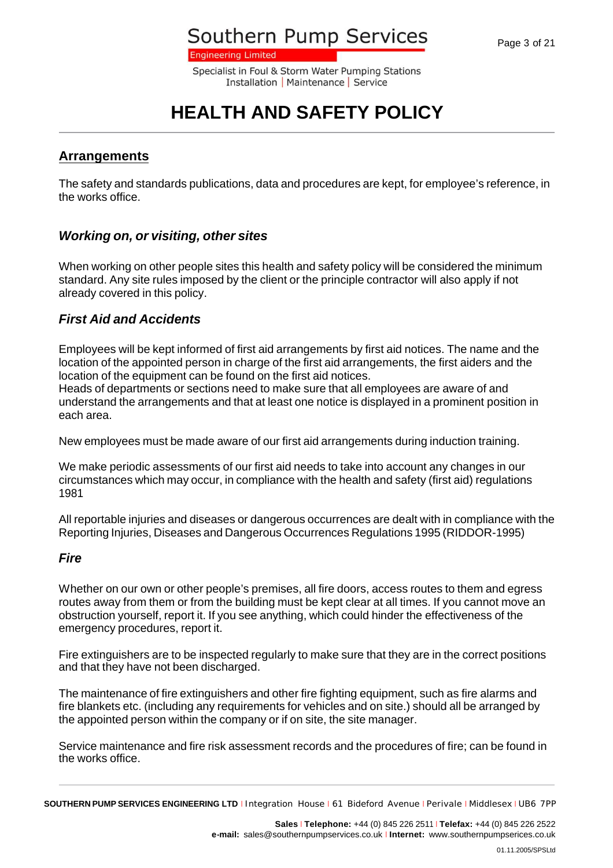**Engineering Limited** 

Specialist in Foul & Storm Water Pumping Stations Installation | Maintenance | Service

# **HEALTH AND SAFETY POLICY**

#### **Arrangements**

The safety and standards publications, data and procedures are kept, for employee's reference, in the works office.

### *Working on, or visiting, other sites*

When working on other people sites this health and safety policy will be considered the minimum standard. Any site rules imposed by the client or the principle contractor will also apply if not already covered in this policy.

#### *First Aid and Accidents*

Employees will be kept informed of first aid arrangements by first aid notices. The name and the location of the appointed person in charge of the first aid arrangements, the first aiders and the location of the equipment can be found on the first aid notices.

Heads of departments or sections need to make sure that all employees are aware of and understand the arrangements and that at least one notice is displayed in a prominent position in each area.

New employees must be made aware of our first aid arrangements during induction training.

We make periodic assessments of our first aid needs to take into account any changes in our circumstances which may occur, in compliance with the health and safety (first aid) regulations 1981

All reportable injuries and diseases or dangerous occurrences are dealt with in compliance with the Reporting Injuries, Diseases and Dangerous Occurrences Regulations 1995 (RIDDOR-1995)

#### *Fire*

Whether on our own or other people's premises, all fire doors, access routes to them and egress routes away from them or from the building must be kept clear at all times. If you cannot move an obstruction yourself, report it. If you see anything, which could hinder the effectiveness of the emergency procedures, report it.

Fire extinguishers are to be inspected regularly to make sure that they are in the correct positions and that they have not been discharged.

The maintenance of fire extinguishers and other fire fighting equipment, such as fire alarms and fire blankets etc. (including any requirements for vehicles and on site.) should all be arranged by the appointed person within the company or if on site, the site manager.

Service maintenance and fire risk assessment records and the procedures of fire; can be found in the works office.

**SOUTHERN PUMP SERVICES ENGINEERING LTD** <sup>I</sup> Integration House <sup>I</sup> 61 Bideford Avenue <sup>I</sup> Perivale <sup>I</sup> Middlesex <sup>I</sup> UB6 7PP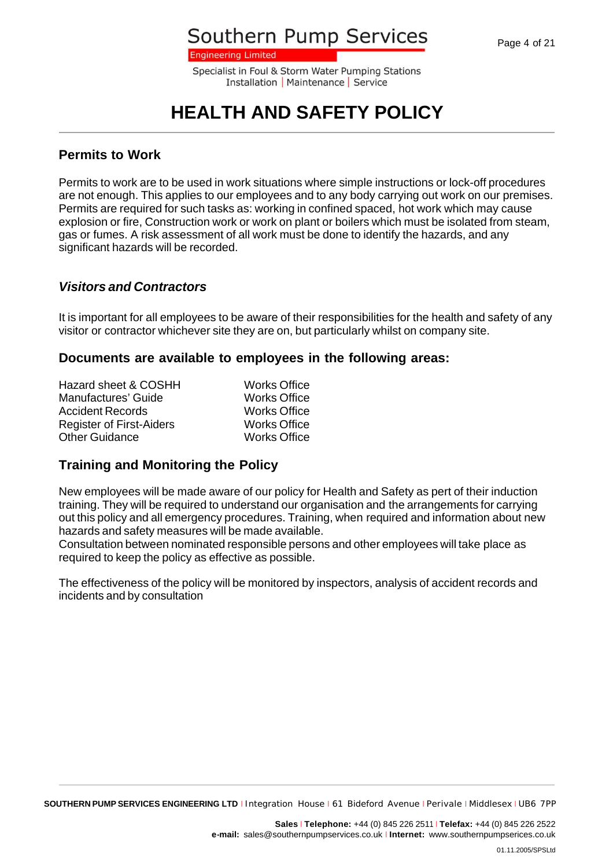**Engineering Limited** 

Specialist in Foul & Storm Water Pumping Stations Installation | Maintenance | Service

# **HEALTH AND SAFETY POLICY**

#### **Permits to Work**

Permits to work are to be used in work situations where simple instructions or lock-off procedures are not enough. This applies to our employees and to any body carrying out work on our premises. Permits are required for such tasks as: working in confined spaced, hot work which may cause explosion or fire, Construction work or work on plant or boilers which must be isolated from steam, gas or fumes. A risk assessment of all work must be done to identify the hazards, and any significant hazards will be recorded.

#### *Visitors and Contractors*

It is important for all employees to be aware of their responsibilities for the health and safety of any visitor or contractor whichever site they are on, but particularly whilst on company site.

#### **Documents are available to employees in the following areas:**

| Hazard sheet & COSHH            | <b>Works Office</b> |
|---------------------------------|---------------------|
| Manufactures' Guide             | <b>Works Office</b> |
| <b>Accident Records</b>         | <b>Works Office</b> |
| <b>Register of First-Aiders</b> | <b>Works Office</b> |
| <b>Other Guidance</b>           | <b>Works Office</b> |

### **Training and Monitoring the Policy**

New employees will be made aware of our policy for Health and Safety as pert of their induction training. They will be required to understand our organisation and the arrangements for carrying out this policy and all emergency procedures. Training, when required and information about new hazards and safety measures will be made available.

Consultation between nominated responsible persons and other employees will take place as required to keep the policy as effective as possible.

The effectiveness of the policy will be monitored by inspectors, analysis of accident records and incidents and by consultation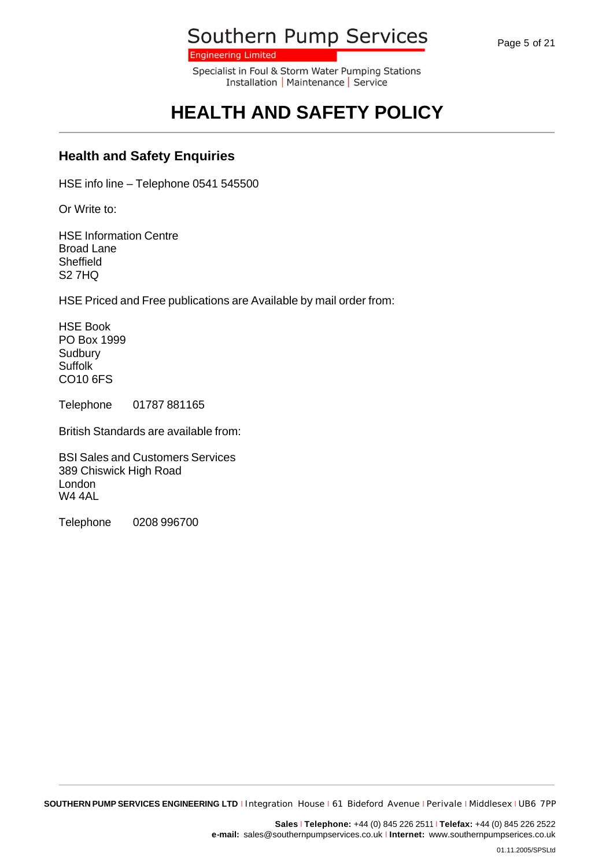Page 5 of 21

Southern Pump Services

**Engineering Limited** 

Specialist in Foul & Storm Water Pumping Stations Installation | Maintenance | Service

# **HEALTH AND SAFETY POLICY**

### **Health and Safety Enquiries**

HSE info line – Telephone 0541 545500

Or Write to:

HSE Information Centre Broad Lane Sheffield S2 7HQ

HSE Priced and Free publications are Available by mail order from:

HSE Book PO Box 1999 **Sudbury Suffolk** CO10 6FS

Telephone 01787 881165

British Standards are available from:

BSI Sales and Customers Services 389 Chiswick High Road London W4 4AL

Telephone 0208 996700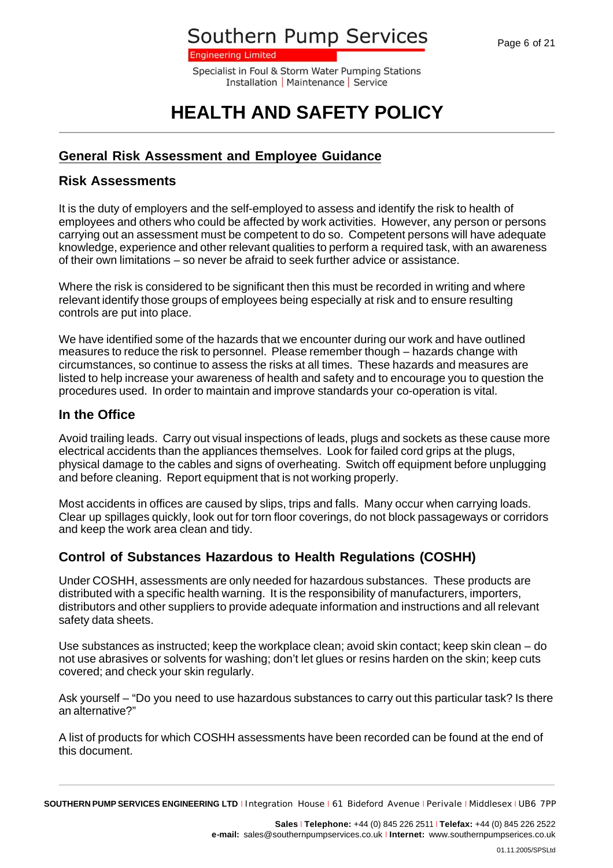**Engineering Limited** 

Specialist in Foul & Storm Water Pumping Stations Installation | Maintenance | Service

# **HEALTH AND SAFETY POLICY**

### **General Risk Assessment and Employee Guidance**

#### **Risk Assessments**

It is the duty of employers and the self-employed to assess and identify the risk to health of employees and others who could be affected by work activities. However, any person or persons carrying out an assessment must be competent to do so. Competent persons will have adequate knowledge, experience and other relevant qualities to perform a required task, with an awareness of their own limitations – so never be afraid to seek further advice or assistance.

Where the risk is considered to be significant then this must be recorded in writing and where relevant identify those groups of employees being especially at risk and to ensure resulting controls are put into place.

We have identified some of the hazards that we encounter during our work and have outlined measures to reduce the risk to personnel. Please remember though – hazards change with circumstances, so continue to assess the risks at all times. These hazards and measures are listed to help increase your awareness of health and safety and to encourage you to question the procedures used. In order to maintain and improve standards your co-operation is vital.

### **In the Office**

Avoid trailing leads. Carry out visual inspections of leads, plugs and sockets as these cause more electrical accidents than the appliances themselves. Look for failed cord grips at the plugs, physical damage to the cables and signs of overheating. Switch off equipment before unplugging and before cleaning. Report equipment that is not working properly.

Most accidents in offices are caused by slips, trips and falls. Many occur when carrying loads. Clear up spillages quickly, look out for torn floor coverings, do not block passageways or corridors and keep the work area clean and tidy.

### **Control of Substances Hazardous to Health Regulations (COSHH)**

Under COSHH, assessments are only needed for hazardous substances. These products are distributed with a specific health warning. It is the responsibility of manufacturers, importers, distributors and other suppliers to provide adequate information and instructions and all relevant safety data sheets.

Use substances as instructed; keep the workplace clean; avoid skin contact; keep skin clean – do not use abrasives or solvents for washing; don't let glues or resins harden on the skin; keep cuts covered; and check your skin regularly.

Ask yourself – "Do you need to use hazardous substances to carry out this particular task? Is there an alternative?"

A list of products for which COSHH assessments have been recorded can be found at the end of this document.

**SOUTHERN PUMP SERVICES ENGINEERING LTD** <sup>I</sup> Integration House <sup>I</sup> 61 Bideford Avenue <sup>I</sup> Perivale <sup>I</sup> Middlesex <sup>I</sup> UB6 7PP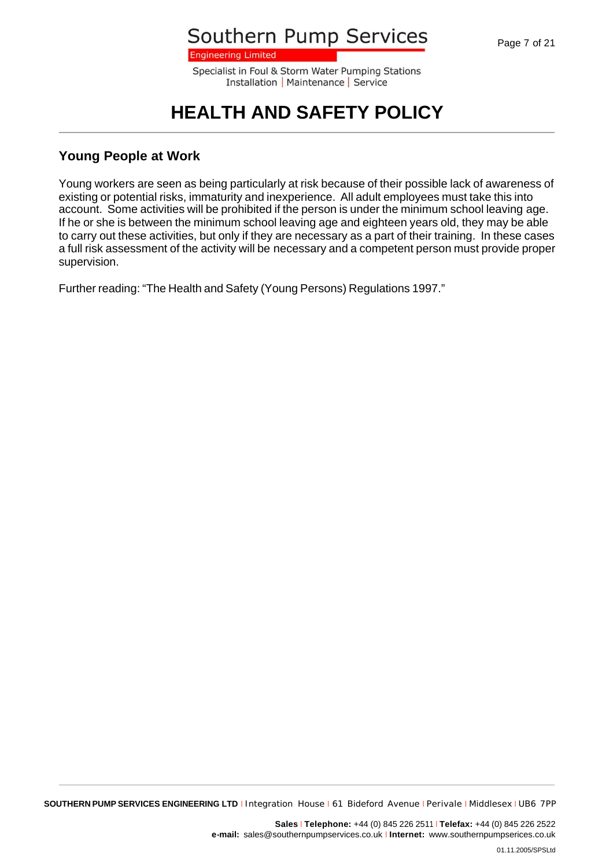**Engineering Limited** 

Specialist in Foul & Storm Water Pumping Stations Installation | Maintenance | Service

## **HEALTH AND SAFETY POLICY**

#### **Young People at Work**

Young workers are seen as being particularly at risk because of their possible lack of awareness of existing or potential risks, immaturity and inexperience. All adult employees must take this into account. Some activities will be prohibited if the person is under the minimum school leaving age. If he or she is between the minimum school leaving age and eighteen years old, they may be able to carry out these activities, but only if they are necessary as a part of their training. In these cases a full risk assessment of the activity will be necessary and a competent person must provide proper supervision.

Further reading: "The Health and Safety (Young Persons) Regulations 1997."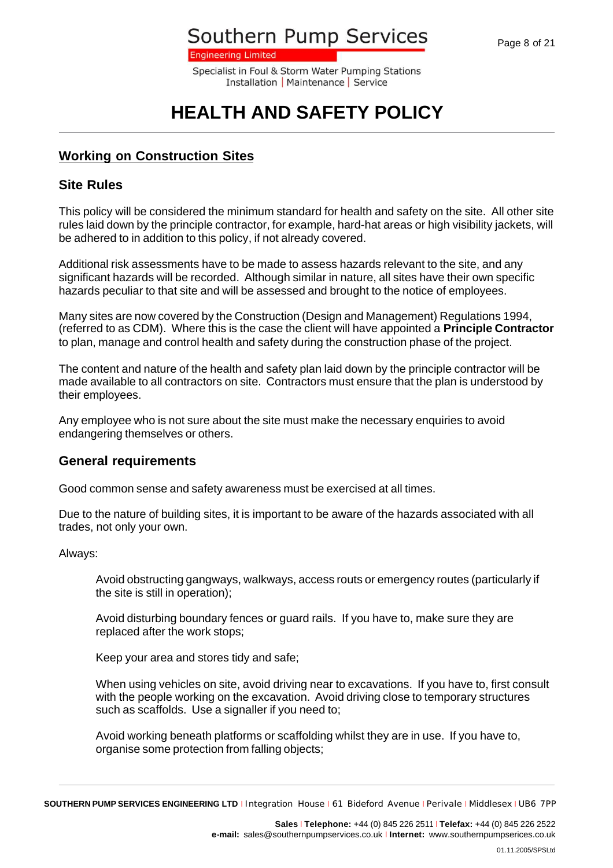**Engineering Limited** 

Specialist in Foul & Storm Water Pumping Stations Installation | Maintenance | Service

# **HEALTH AND SAFETY POLICY**

### **Working on Construction Sites**

#### **Site Rules**

This policy will be considered the minimum standard for health and safety on the site. All other site rules laid down by the principle contractor, for example, hard-hat areas or high visibility jackets, will be adhered to in addition to this policy, if not already covered.

Additional risk assessments have to be made to assess hazards relevant to the site, and any significant hazards will be recorded. Although similar in nature, all sites have their own specific hazards peculiar to that site and will be assessed and brought to the notice of employees.

Many sites are now covered by the Construction (Design and Management) Regulations 1994, (referred to as CDM). Where this is the case the client will have appointed a **Principle Contractor** to plan, manage and control health and safety during the construction phase of the project.

The content and nature of the health and safety plan laid down by the principle contractor will be made available to all contractors on site. Contractors must ensure that the plan is understood by their employees.

Any employee who is not sure about the site must make the necessary enquiries to avoid endangering themselves or others.

### **General requirements**

Good common sense and safety awareness must be exercised at all times.

Due to the nature of building sites, it is important to be aware of the hazards associated with all trades, not only your own.

Always:

Avoid obstructing gangways, walkways, access routs or emergency routes (particularly if the site is still in operation);

Avoid disturbing boundary fences or guard rails. If you have to, make sure they are replaced after the work stops;

Keep your area and stores tidy and safe;

When using vehicles on site, avoid driving near to excavations. If you have to, first consult with the people working on the excavation. Avoid driving close to temporary structures such as scaffolds. Use a signaller if you need to;

Avoid working beneath platforms or scaffolding whilst they are in use. If you have to, organise some protection from falling objects;

**SOUTHERN PUMP SERVICES ENGINEERING LTD** <sup>I</sup> Integration House <sup>I</sup> 61 Bideford Avenue <sup>I</sup> Perivale <sup>I</sup> Middlesex <sup>I</sup> UB6 7PP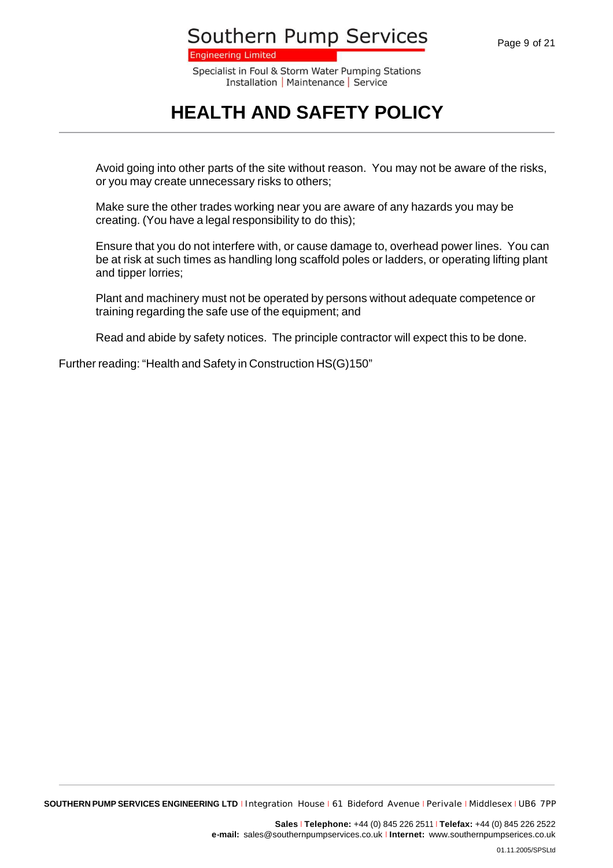**Engineering Limited** 

Specialist in Foul & Storm Water Pumping Stations Installation | Maintenance | Service

### **HEALTH AND SAFETY POLICY**

Avoid going into other parts of the site without reason. You may not be aware of the risks, or you may create unnecessary risks to others;

Make sure the other trades working near you are aware of any hazards you may be creating. (You have a legal responsibility to do this);

Ensure that you do not interfere with, or cause damage to, overhead power lines. You can be at risk at such times as handling long scaffold poles or ladders, or operating lifting plant and tipper lorries;

Plant and machinery must not be operated by persons without adequate competence or training regarding the safe use of the equipment; and

Read and abide by safety notices. The principle contractor will expect this to be done.

Further reading: "Health and Safety in Construction HS(G)150"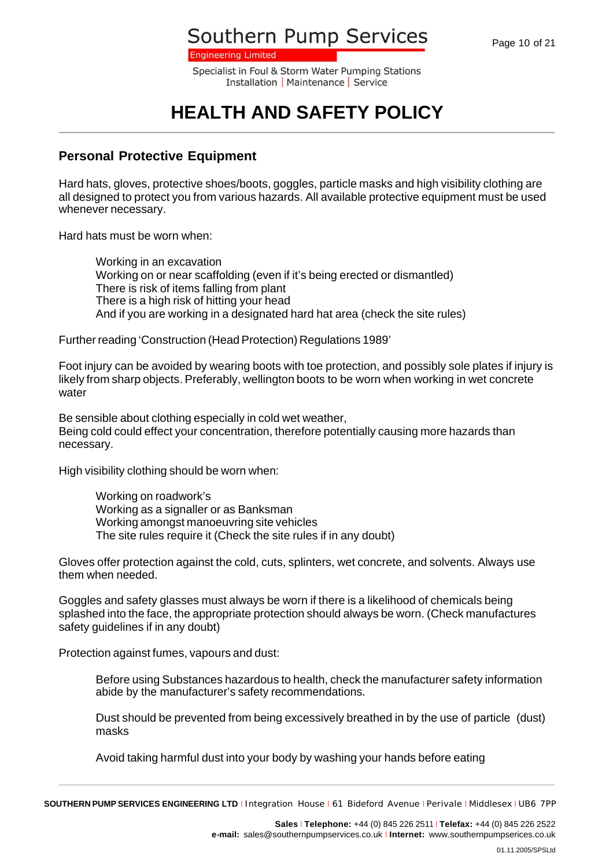**Engineering Limited** 

Specialist in Foul & Storm Water Pumping Stations Installation | Maintenance | Service

# **HEALTH AND SAFETY POLICY**

### **Personal Protective Equipment**

Hard hats, gloves, protective shoes/boots, goggles, particle masks and high visibility clothing are all designed to protect you from various hazards. All available protective equipment must be used whenever necessary.

Hard hats must be worn when:

Working in an excavation Working on or near scaffolding (even if it's being erected or dismantled) There is risk of items falling from plant There is a high risk of hitting your head And if you are working in a designated hard hat area (check the site rules)

Further reading 'Construction (Head Protection) Regulations 1989'

Foot injury can be avoided by wearing boots with toe protection, and possibly sole plates if injury is likely from sharp objects. Preferably, wellington boots to be worn when working in wet concrete water

Be sensible about clothing especially in cold wet weather, Being cold could effect your concentration, therefore potentially causing more hazards than necessary.

High visibility clothing should be worn when:

Working on roadwork's Working as a signaller or as Banksman Working amongst manoeuvring site vehicles The site rules require it (Check the site rules if in any doubt)

Gloves offer protection against the cold, cuts, splinters, wet concrete, and solvents. Always use them when needed.

Goggles and safety glasses must always be worn if there is a likelihood of chemicals being splashed into the face, the appropriate protection should always be worn. (Check manufactures safety guidelines if in any doubt)

Protection against fumes, vapours and dust:

Before using Substances hazardous to health, check the manufacturer safety information abide by the manufacturer's safety recommendations.

Dust should be prevented from being excessively breathed in by the use of particle (dust) masks

Avoid taking harmful dust into your body by washing your hands before eating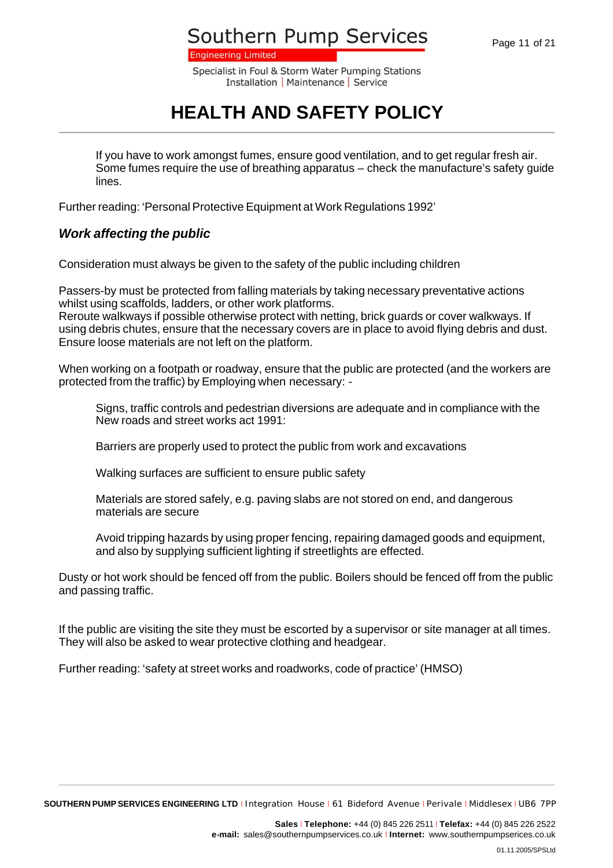**Engineering Limited** 

Specialist in Foul & Storm Water Pumping Stations Installation | Maintenance | Service

# **HEALTH AND SAFETY POLICY**

If you have to work amongst fumes, ensure good ventilation, and to get regular fresh air. Some fumes require the use of breathing apparatus – check the manufacture's safety guide lines.

Further reading: 'Personal Protective Equipment at Work Regulations 1992'

### *Work affecting the public*

Consideration must always be given to the safety of the public including children

Passers-by must be protected from falling materials by taking necessary preventative actions whilst using scaffolds, ladders, or other work platforms. Reroute walkways if possible otherwise protect with netting, brick guards or cover walkways. If using debris chutes, ensure that the necessary covers are in place to avoid flying debris and dust. Ensure loose materials are not left on the platform.

When working on a footpath or roadway, ensure that the public are protected (and the workers are protected from the traffic) by Employing when necessary: -

Signs, traffic controls and pedestrian diversions are adequate and in compliance with the New roads and street works act 1991:

Barriers are properly used to protect the public from work and excavations

Walking surfaces are sufficient to ensure public safety

Materials are stored safely, e.g. paving slabs are not stored on end, and dangerous materials are secure

Avoid tripping hazards by using proper fencing, repairing damaged goods and equipment, and also by supplying sufficient lighting if streetlights are effected.

Dusty or hot work should be fenced off from the public. Boilers should be fenced off from the public and passing traffic.

If the public are visiting the site they must be escorted by a supervisor or site manager at all times. They will also be asked to wear protective clothing and headgear.

Further reading: 'safety at street works and roadworks, code of practice' (HMSO)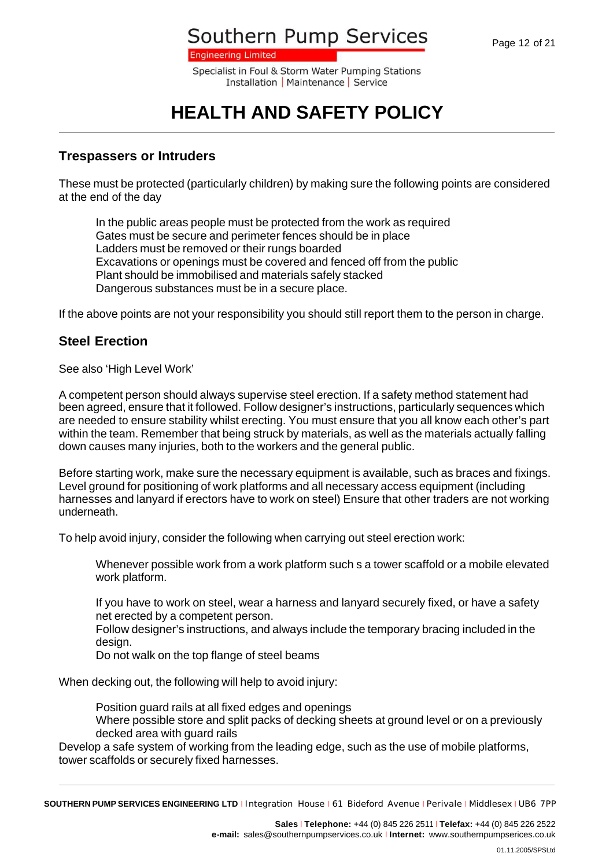**Engineering Limited** 

Specialist in Foul & Storm Water Pumping Stations Installation | Maintenance | Service

# **HEALTH AND SAFETY POLICY**

#### **Trespassers or Intruders**

These must be protected (particularly children) by making sure the following points are considered at the end of the day

In the public areas people must be protected from the work as required Gates must be secure and perimeter fences should be in place Ladders must be removed or their rungs boarded Excavations or openings must be covered and fenced off from the public Plant should be immobilised and materials safely stacked Dangerous substances must be in a secure place.

If the above points are not your responsibility you should still report them to the person in charge.

### **Steel Erection**

See also 'High Level Work'

A competent person should always supervise steel erection. If a safety method statement had been agreed, ensure that it followed. Follow designer's instructions, particularly sequences which are needed to ensure stability whilst erecting. You must ensure that you all know each other's part within the team. Remember that being struck by materials, as well as the materials actually falling down causes many injuries, both to the workers and the general public.

Before starting work, make sure the necessary equipment is available, such as braces and fixings. Level ground for positioning of work platforms and all necessary access equipment (including harnesses and lanyard if erectors have to work on steel) Ensure that other traders are not working underneath.

To help avoid injury, consider the following when carrying out steel erection work:

Whenever possible work from a work platform such s a tower scaffold or a mobile elevated work platform.

If you have to work on steel, wear a harness and lanyard securely fixed, or have a safety net erected by a competent person.

Follow designer's instructions, and always include the temporary bracing included in the design.

Do not walk on the top flange of steel beams

When decking out, the following will help to avoid injury:

Position guard rails at all fixed edges and openings Where possible store and split packs of decking sheets at ground level or on a previously decked area with quard rails

Develop a safe system of working from the leading edge, such as the use of mobile platforms, tower scaffolds or securely fixed harnesses.

**SOUTHERN PUMP SERVICES ENGINEERING LTD** <sup>I</sup> Integration House <sup>I</sup> 61 Bideford Avenue <sup>I</sup> Perivale <sup>I</sup> Middlesex <sup>I</sup> UB6 7PP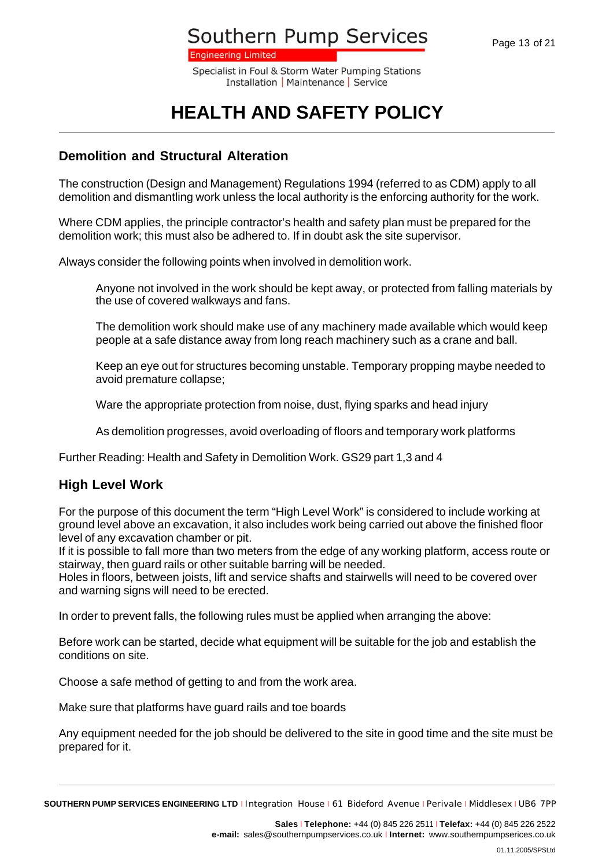**Engineering Limited** 

Specialist in Foul & Storm Water Pumping Stations Installation | Maintenance | Service

# **HEALTH AND SAFETY POLICY**

#### **Demolition and Structural Alteration**

The construction (Design and Management) Regulations 1994 (referred to as CDM) apply to all demolition and dismantling work unless the local authority is the enforcing authority for the work.

Where CDM applies, the principle contractor's health and safety plan must be prepared for the demolition work; this must also be adhered to. If in doubt ask the site supervisor.

Always consider the following points when involved in demolition work.

Anyone not involved in the work should be kept away, or protected from falling materials by the use of covered walkways and fans.

The demolition work should make use of any machinery made available which would keep people at a safe distance away from long reach machinery such as a crane and ball.

Keep an eye out for structures becoming unstable. Temporary propping maybe needed to avoid premature collapse;

Ware the appropriate protection from noise, dust, flying sparks and head injury

As demolition progresses, avoid overloading of floors and temporary work platforms

Further Reading: Health and Safety in Demolition Work. GS29 part 1,3 and 4

#### **High Level Work**

For the purpose of this document the term "High Level Work" is considered to include working at ground level above an excavation, it also includes work being carried out above the finished floor level of any excavation chamber or pit.

If it is possible to fall more than two meters from the edge of any working platform, access route or stairway, then guard rails or other suitable barring will be needed.

Holes in floors, between joists, lift and service shafts and stairwells will need to be covered over and warning signs will need to be erected.

In order to prevent falls, the following rules must be applied when arranging the above:

Before work can be started, decide what equipment will be suitable for the job and establish the conditions on site.

Choose a safe method of getting to and from the work area.

Make sure that platforms have guard rails and toe boards

Any equipment needed for the job should be delivered to the site in good time and the site must be prepared for it.

**Sales** <sup>I</sup> **Telephone:** +44 (0) 845 226 2511 <sup>I</sup> **Telefax:** +44 (0) 845 226 2522 **e-mail:** sales@southernpumpservices.co.uk <sup>I</sup> **Internet:** www.southernpumpserices.co.uk

**SOUTHERN PUMP SERVICES ENGINEERING LTD** <sup>I</sup> Integration House <sup>I</sup> 61 Bideford Avenue <sup>I</sup> Perivale <sup>I</sup> Middlesex <sup>I</sup> UB6 7PP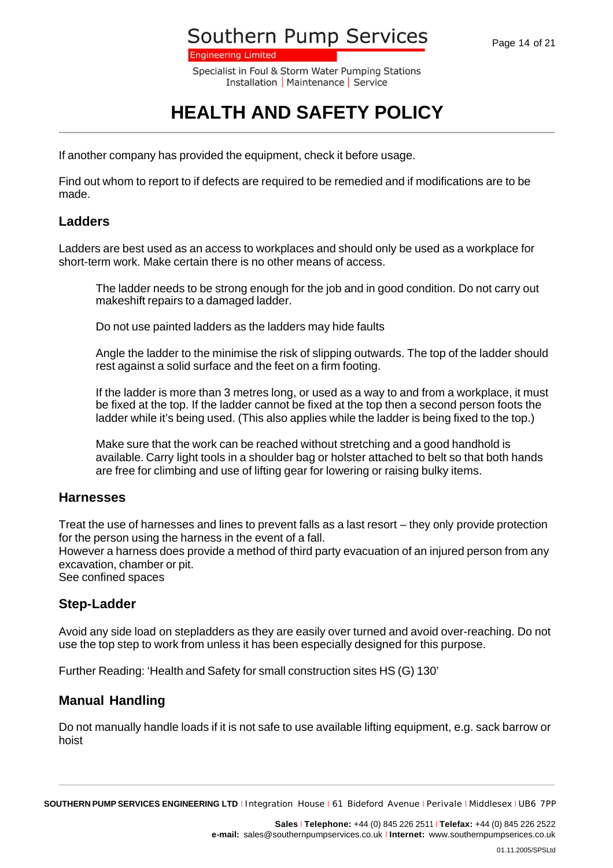**Engineering Limited** 

Specialist in Foul & Storm Water Pumping Stations Installation | Maintenance | Service

# **HEALTH AND SAFETY POLICY**

If another company has provided the equipment, check it before usage.

Find out whom to report to if defects are required to be remedied and if modifications are to be made.

#### **Ladders**

Ladders are best used as an access to workplaces and should only be used as a workplace for short-term work. Make certain there is no other means of access.

The ladder needs to be strong enough for the job and in good condition. Do not carry out makeshift repairs to a damaged ladder.

Do not use painted ladders as the ladders may hide faults

Angle the ladder to the minimise the risk of slipping outwards. The top of the ladder should rest against a solid surface and the feet on a firm footing.

If the ladder is more than 3 metres long, or used as a way to and from a workplace, it must be fixed at the top. If the ladder cannot be fixed at the top then a second person foots the ladder while it's being used. (This also applies while the ladder is being fixed to the top.)

Make sure that the work can be reached without stretching and a good handhold is available. Carry light tools in a shoulder bag or holster attached to belt so that both hands are free for climbing and use of lifting gear for lowering or raising bulky items.

#### **Harnesses**

Treat the use of harnesses and lines to prevent falls as a last resort – they only provide protection for the person using the harness in the event of a fall.

However a harness does provide a method of third party evacuation of an injured person from any excavation, chamber or pit.

See confined spaces

#### **Step-Ladder**

Avoid any side load on stepladders as they are easily over turned and avoid over-reaching. Do not use the top step to work from unless it has been especially designed for this purpose.

Further Reading: 'Health and Safety for small construction sites HS (G) 130'

#### **Manual Handling**

Do not manually handle loads if it is not safe to use available lifting equipment, e.g. sack barrow or hoist

**SOUTHERN PUMP SERVICES ENGINEERING LTD** <sup>I</sup> Integration House <sup>I</sup> 61 Bideford Avenue <sup>I</sup> Perivale <sup>I</sup> Middlesex <sup>I</sup> UB6 7PP

**Sales** <sup>I</sup> **Telephone:** +44 (0) 845 226 2511 <sup>I</sup> **Telefax:** +44 (0) 845 226 2522 **e-mail:** sales@southernpumpservices.co.uk <sup>I</sup> **Internet:** www.southernpumpserices.co.uk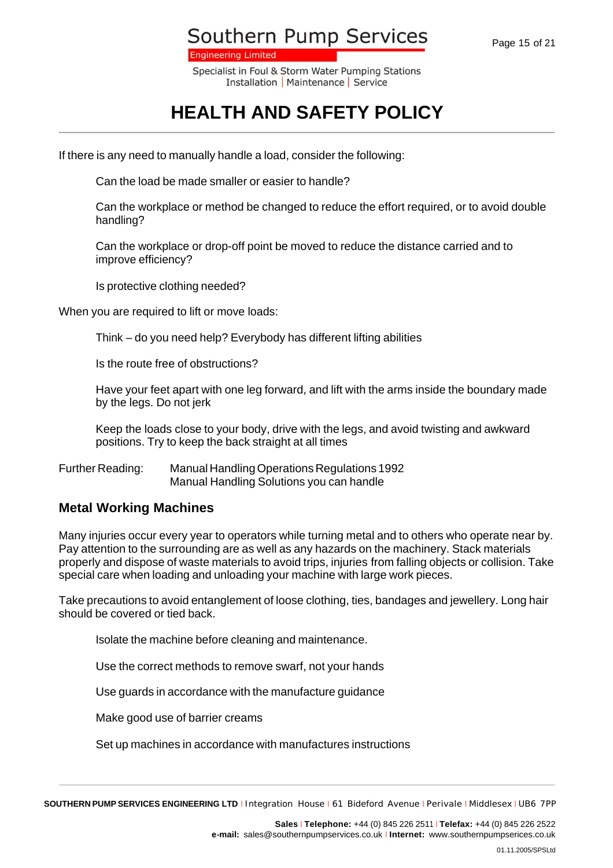**Engineering Limited** 

Specialist in Foul & Storm Water Pumping Stations Installation | Maintenance | Service

# **HEALTH AND SAFETY POLICY**

If there is any need to manually handle a load, consider the following:

Can the load be made smaller or easier to handle?

Can the workplace or method be changed to reduce the effort required, or to avoid double handling?

Can the workplace or drop-off point be moved to reduce the distance carried and to improve efficiency?

Is protective clothing needed?

When you are required to lift or move loads:

Think – do you need help? Everybody has different lifting abilities

Is the route free of obstructions?

Have your feet apart with one leg forward, and lift with the arms inside the boundary made by the legs. Do not jerk

Keep the loads close to your body, drive with the legs, and avoid twisting and awkward positions. Try to keep the back straight at all times

Further Reading: Manual Handling Operations Regulations 1992 Manual Handling Solutions you can handle

#### **Metal Working Machines**

Many injuries occur every year to operators while turning metal and to others who operate near by. Pay attention to the surrounding are as well as any hazards on the machinery. Stack materials properly and dispose of waste materials to avoid trips, injuries from falling objects or collision. Take special care when loading and unloading your machine with large work pieces.

Take precautions to avoid entanglement of loose clothing, ties, bandages and jewellery. Long hair should be covered or tied back.

Isolate the machine before cleaning and maintenance.

Use the correct methods to remove swarf, not your hands

Use guards in accordance with the manufacture guidance

Make good use of barrier creams

Set up machines in accordance with manufactures instructions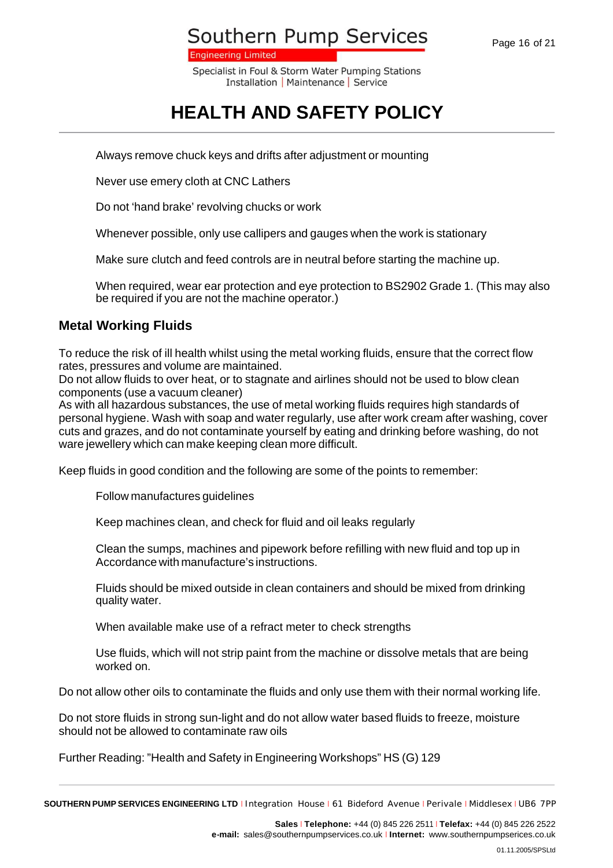**Engineering Limited** 

Specialist in Foul & Storm Water Pumping Stations Installation | Maintenance | Service

# **HEALTH AND SAFETY POLICY**

Always remove chuck keys and drifts after adjustment or mounting

Never use emery cloth at CNC Lathers

Do not 'hand brake' revolving chucks or work

Whenever possible, only use callipers and gauges when the work is stationary

Make sure clutch and feed controls are in neutral before starting the machine up.

When required, wear ear protection and eye protection to BS2902 Grade 1. (This may also be required if you are not the machine operator.)

#### **Metal Working Fluids**

To reduce the risk of ill health whilst using the metal working fluids, ensure that the correct flow rates, pressures and volume are maintained.

Do not allow fluids to over heat, or to stagnate and airlines should not be used to blow clean components (use a vacuum cleaner)

As with all hazardous substances, the use of metal working fluids requires high standards of personal hygiene. Wash with soap and water regularly, use after work cream after washing, cover cuts and grazes, and do not contaminate yourself by eating and drinking before washing, do not ware jewellery which can make keeping clean more difficult.

Keep fluids in good condition and the following are some of the points to remember:

Follow manufactures guidelines

Keep machines clean, and check for fluid and oil leaks regularly

Clean the sumps, machines and pipework before refilling with new fluid and top up in Accordance with manufacture's instructions.

Fluids should be mixed outside in clean containers and should be mixed from drinking quality water.

When available make use of a refract meter to check strengths

Use fluids, which will not strip paint from the machine or dissolve metals that are being worked on.

Do not allow other oils to contaminate the fluids and only use them with their normal working life.

Do not store fluids in strong sun-light and do not allow water based fluids to freeze, moisture should not be allowed to contaminate raw oils

Further Reading: "Health and Safety in Engineering Workshops" HS (G) 129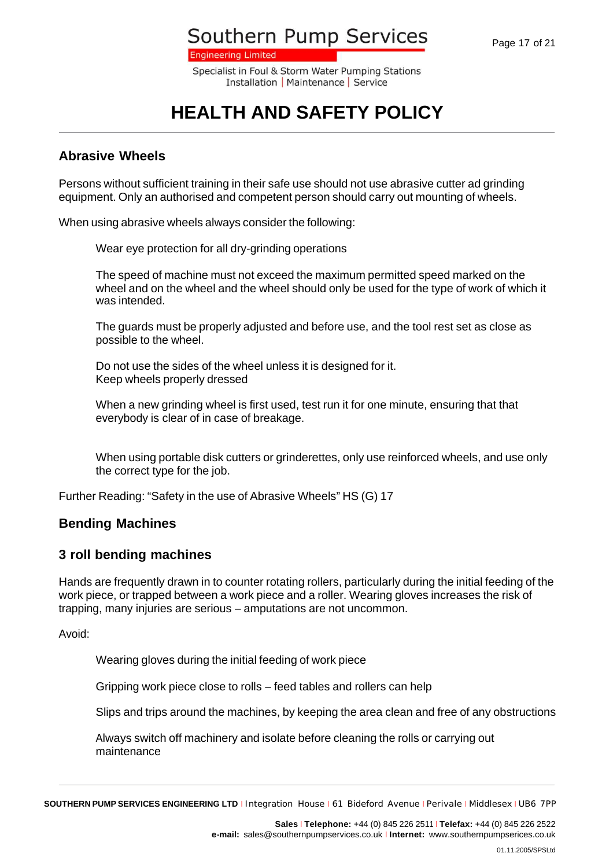**Engineering Limited** 

Specialist in Foul & Storm Water Pumping Stations Installation | Maintenance | Service

# **HEALTH AND SAFETY POLICY**

#### **Abrasive Wheels**

Persons without sufficient training in their safe use should not use abrasive cutter ad grinding equipment. Only an authorised and competent person should carry out mounting of wheels.

When using abrasive wheels always consider the following:

Wear eye protection for all dry-grinding operations

The speed of machine must not exceed the maximum permitted speed marked on the wheel and on the wheel and the wheel should only be used for the type of work of which it was intended.

The guards must be properly adjusted and before use, and the tool rest set as close as possible to the wheel.

Do not use the sides of the wheel unless it is designed for it. Keep wheels properly dressed

When a new grinding wheel is first used, test run it for one minute, ensuring that that everybody is clear of in case of breakage.

When using portable disk cutters or grinderettes, only use reinforced wheels, and use only the correct type for the job.

Further Reading: "Safety in the use of Abrasive Wheels" HS (G) 17

#### **Bending Machines**

#### **3 roll bending machines**

Hands are frequently drawn in to counter rotating rollers, particularly during the initial feeding of the work piece, or trapped between a work piece and a roller. Wearing gloves increases the risk of trapping, many injuries are serious – amputations are not uncommon.

Avoid:

Wearing gloves during the initial feeding of work piece

Gripping work piece close to rolls – feed tables and rollers can help

Slips and trips around the machines, by keeping the area clean and free of any obstructions

Always switch off machinery and isolate before cleaning the rolls or carrying out maintenance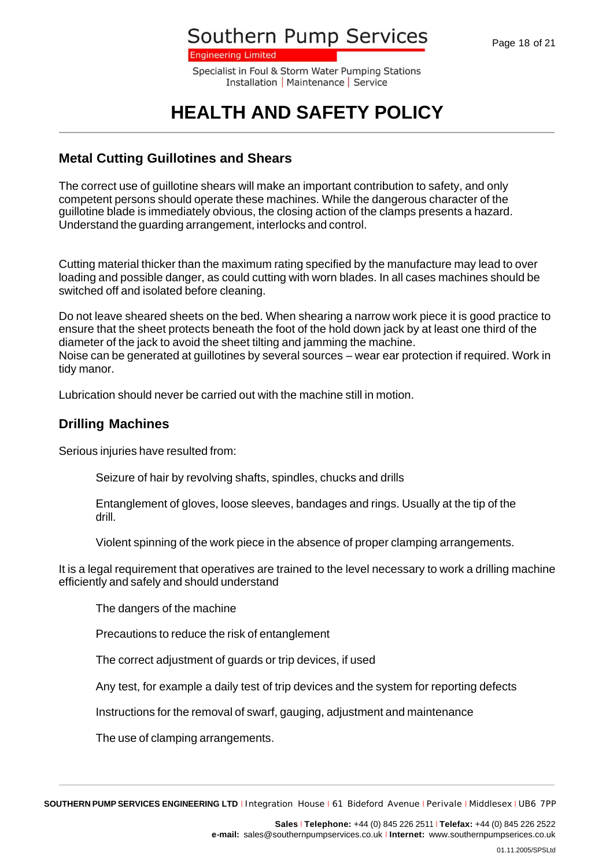**Engineering Limited** 

Specialist in Foul & Storm Water Pumping Stations Installation | Maintenance | Service

## **HEALTH AND SAFETY POLICY**

### **Metal Cutting Guillotines and Shears**

The correct use of guillotine shears will make an important contribution to safety, and only competent persons should operate these machines. While the dangerous character of the guillotine blade is immediately obvious, the closing action of the clamps presents a hazard. Understand the guarding arrangement, interlocks and control.

Cutting material thicker than the maximum rating specified by the manufacture may lead to over loading and possible danger, as could cutting with worn blades. In all cases machines should be switched off and isolated before cleaning.

Do not leave sheared sheets on the bed. When shearing a narrow work piece it is good practice to ensure that the sheet protects beneath the foot of the hold down jack by at least one third of the diameter of the jack to avoid the sheet tilting and jamming the machine. Noise can be generated at guillotines by several sources – wear ear protection if required. Work in tidy manor.

Lubrication should never be carried out with the machine still in motion.

#### **Drilling Machines**

Serious injuries have resulted from:

Seizure of hair by revolving shafts, spindles, chucks and drills

Entanglement of gloves, loose sleeves, bandages and rings. Usually at the tip of the drill.

Violent spinning of the work piece in the absence of proper clamping arrangements.

It is a legal requirement that operatives are trained to the level necessary to work a drilling machine efficiently and safely and should understand

The dangers of the machine

Precautions to reduce the risk of entanglement

The correct adjustment of guards or trip devices, if used

Any test, for example a daily test of trip devices and the system for reporting defects

Instructions for the removal of swarf, gauging, adjustment and maintenance

The use of clamping arrangements.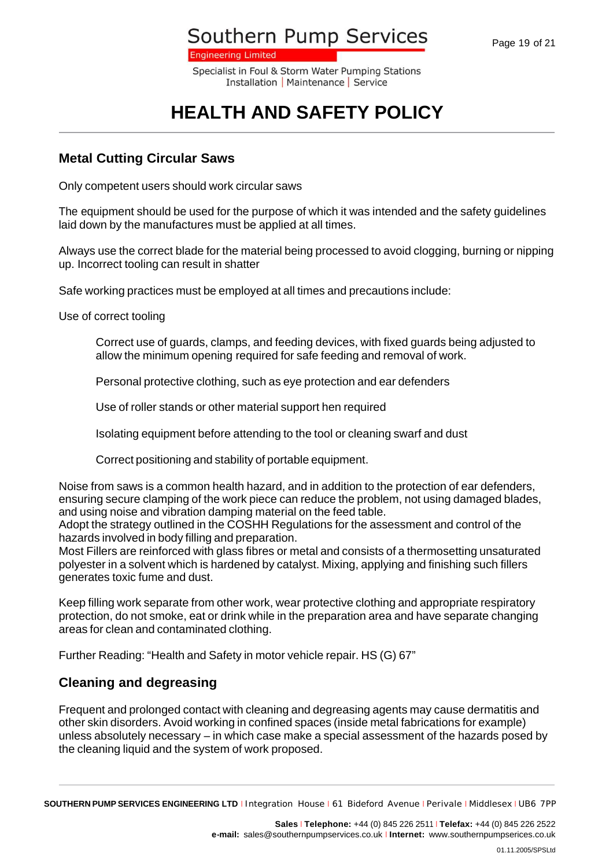**Engineering Limited** 

Specialist in Foul & Storm Water Pumping Stations Installation | Maintenance | Service

# **HEALTH AND SAFETY POLICY**

### **Metal Cutting Circular Saws**

Only competent users should work circular saws

The equipment should be used for the purpose of which it was intended and the safety guidelines laid down by the manufactures must be applied at all times.

Always use the correct blade for the material being processed to avoid clogging, burning or nipping up. Incorrect tooling can result in shatter

Safe working practices must be employed at all times and precautions include:

Use of correct tooling

Correct use of guards, clamps, and feeding devices, with fixed guards being adjusted to allow the minimum opening required for safe feeding and removal of work.

Personal protective clothing, such as eye protection and ear defenders

Use of roller stands or other material support hen required

Isolating equipment before attending to the tool or cleaning swarf and dust

Correct positioning and stability of portable equipment.

Noise from saws is a common health hazard, and in addition to the protection of ear defenders, ensuring secure clamping of the work piece can reduce the problem, not using damaged blades, and using noise and vibration damping material on the feed table.

Adopt the strategy outlined in the COSHH Regulations for the assessment and control of the hazards involved in body filling and preparation.

Most Fillers are reinforced with glass fibres or metal and consists of a thermosetting unsaturated polyester in a solvent which is hardened by catalyst. Mixing, applying and finishing such fillers generates toxic fume and dust.

Keep filling work separate from other work, wear protective clothing and appropriate respiratory protection, do not smoke, eat or drink while in the preparation area and have separate changing areas for clean and contaminated clothing.

Further Reading: "Health and Safety in motor vehicle repair. HS (G) 67"

### **Cleaning and degreasing**

Frequent and prolonged contact with cleaning and degreasing agents may cause dermatitis and other skin disorders. Avoid working in confined spaces (inside metal fabrications for example) unless absolutely necessary – in which case make a special assessment of the hazards posed by the cleaning liquid and the system of work proposed.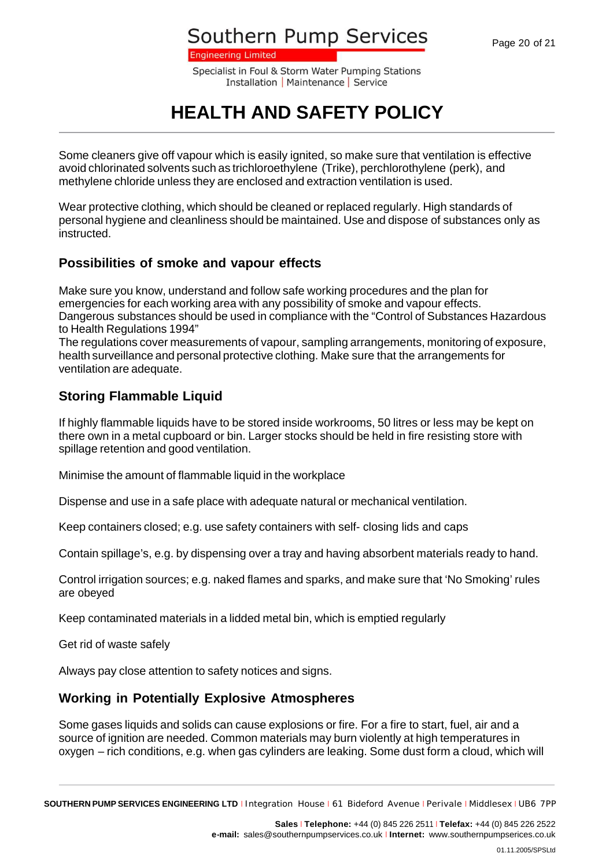**Engineering Limited** 

Specialist in Foul & Storm Water Pumping Stations Installation | Maintenance | Service

## **HEALTH AND SAFETY POLICY**

Some cleaners give off vapour which is easily ignited, so make sure that ventilation is effective avoid chlorinated solvents such as trichloroethylene (Trike), perchlorothylene (perk), and methylene chloride unless they are enclosed and extraction ventilation is used.

Wear protective clothing, which should be cleaned or replaced regularly. High standards of personal hygiene and cleanliness should be maintained. Use and dispose of substances only as instructed.

### **Possibilities of smoke and vapour effects**

Make sure you know, understand and follow safe working procedures and the plan for emergencies for each working area with any possibility of smoke and vapour effects. Dangerous substances should be used in compliance with the "Control of Substances Hazardous to Health Regulations 1994"

The regulations cover measurements of vapour, sampling arrangements, monitoring of exposure, health surveillance and personal protective clothing. Make sure that the arrangements for ventilation are adequate.

### **Storing Flammable Liquid**

If highly flammable liquids have to be stored inside workrooms, 50 litres or less may be kept on there own in a metal cupboard or bin. Larger stocks should be held in fire resisting store with spillage retention and good ventilation.

Minimise the amount of flammable liquid in the workplace

Dispense and use in a safe place with adequate natural or mechanical ventilation.

Keep containers closed; e.g. use safety containers with self- closing lids and caps

Contain spillage's, e.g. by dispensing over a tray and having absorbent materials ready to hand.

Control irrigation sources; e.g. naked flames and sparks, and make sure that 'No Smoking' rules are obeyed

Keep contaminated materials in a lidded metal bin, which is emptied regularly

Get rid of waste safely

Always pay close attention to safety notices and signs.

### **Working in Potentially Explosive Atmospheres**

Some gases liquids and solids can cause explosions or fire. For a fire to start, fuel, air and a source of ignition are needed. Common materials may burn violently at high temperatures in oxygen – rich conditions, e.g. when gas cylinders are leaking. Some dust form a cloud, which will

**SOUTHERN PUMP SERVICES ENGINEERING LTD** <sup>I</sup> Integration House <sup>I</sup> 61 Bideford Avenue <sup>I</sup> Perivale <sup>I</sup> Middlesex <sup>I</sup> UB6 7PP